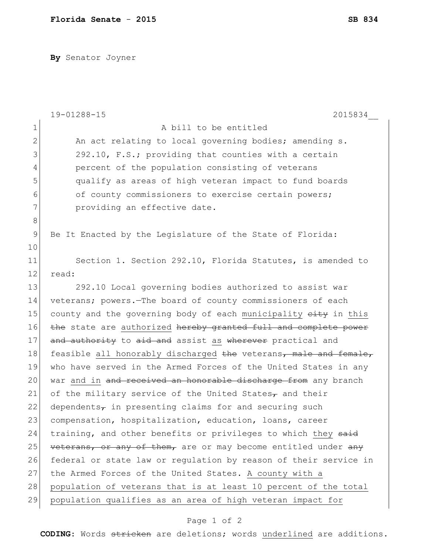**By** Senator Joyner

|                | 19-01288-15<br>2015834                                           |
|----------------|------------------------------------------------------------------|
| 1              | A bill to be entitled                                            |
| $\mathbf{2}$   | An act relating to local governing bodies; amending s.           |
| 3              | 292.10, F.S.; providing that counties with a certain             |
| $\overline{4}$ | percent of the population consisting of veterans                 |
| 5              | qualify as areas of high veteran impact to fund boards           |
| 6              | of county commissioners to exercise certain powers;              |
| 7              | providing an effective date.                                     |
| 8              |                                                                  |
| $\mathsf 9$    | Be It Enacted by the Legislature of the State of Florida:        |
| 10             |                                                                  |
| 11             | Section 1. Section 292.10, Florida Statutes, is amended to       |
| 12             | read:                                                            |
| 13             | 292.10 Local governing bodies authorized to assist war           |
| 14             | veterans; powers.-The board of county commissioners of each      |
| 15             | county and the governing body of each municipality eity in this  |
| 16             | the state are authorized hereby granted full and complete power  |
| 17             | and authority to aid and assist as wherever practical and        |
| 18             | feasible all honorably discharged the veterans, male and female, |
| 19             | who have served in the Armed Forces of the United States in any  |
| 20             | war and in and received an honorable discharge from any branch   |
| 21             | of the military service of the United States $_{\tau}$ and their |
| 22             | dependents $\tau$ in presenting claims for and securing such     |
| 23             | compensation, hospitalization, education, loans, career          |
| 24             | training, and other benefits or privileges to which they said    |
| 25             | veterans, or any of them, are or may become entitled under any   |
| 26             | federal or state law or regulation by reason of their service in |
| 27             | the Armed Forces of the United States. A county with a           |
| 28             | population of veterans that is at least 10 percent of the total  |
| 29             | population qualifies as an area of high veteran impact for       |

## Page 1 of 2

**CODING**: Words stricken are deletions; words underlined are additions.